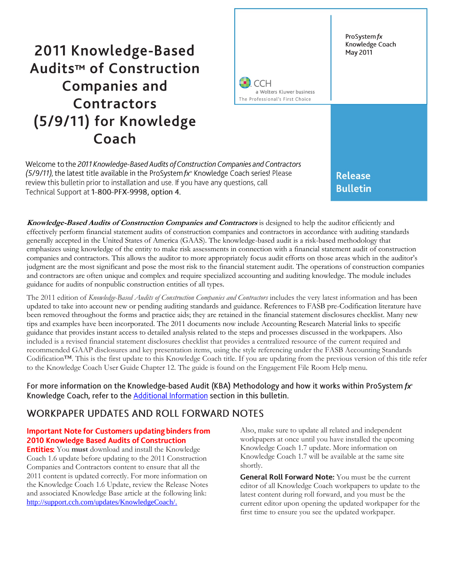# 2011 Knowledge-Based Audits™ of Construction **Companies and Contractors** (5/9/11) for Knowledge Coach



Welcome to the 2011 Knowledge-Based Audits of Construction Companies and Contractors (5/9/11), the latest title available in the ProSystem  $fx^*$  Knowledge Coach series! Please review this bulletin prior to installation and use. If you have any questions, call Technical Support at 1-800-PFX-9998, option 4.

**Bulletin** 

**Knowledge-Based Audits of Construction Companies and Contractors** is designed to help the auditor efficiently and effectively perform financial statement audits of construction companies and contractors in accordance with auditing standards generally accepted in the United States of America (GAAS). The knowledge-based audit is a risk-based methodology that emphasizes using knowledge of the entity to make risk assessments in connection with a financial statement audit of construction companies and contractors. This allows the auditor to more appropriately focus audit efforts on those areas which in the auditor's judgment are the most significant and pose the most risk to the financial statement audit. The operations of construction companies and contractors are often unique and complex and require specialized accounting and auditing knowledge. The module includes guidance for audits of nonpublic construction entities of all types.

The 2011 edition of *Knowledge-Based Audits of Construction Companies and Contractors* includes the very latest information and has been updated to take into account new or pending auditing standards and guidance. References to FASB pre-Codification literature have been removed throughout the forms and practice aids; they are retained in the financial statement disclosures checklist. Many new tips and examples have been incorporated. The 2011 documents now include Accounting Research Material links to specific guidance that provides instant access to detailed analysis related to the steps and processes discussed in the workpapers. Also included is a revised financial statement disclosures checklist that provides a centralized resource of the current required and recommended GAAP disclosures and key presentation items, using the style referencing under the FASB Accounting Standards Codification™. This is the first update to this Knowledge Coach title. If you are updating from the previous version of this title refer to the Knowledge Coach User Guide Chapter 12. The guide is found on the Engagement File Room Help menu.

For more information on the Knowledge-based Audit (KBA) Methodology and how it works within ProSystem  $f x$ <sup>o</sup> Knowledge Coach, refer to the Additional Information section in this bulletin.

# **WORKPAPER UPDATES AND ROLL FORWARD NOTES**

### **Important Note for Customers updating binders from 2010 Knowledge Based Audits of Construction**

**Entities:** You must download and install the Knowledge Coach 1.6 update before updating to the 2011 Construction Companies and Contractors content to ensure that all the 2011 content is updated correctly. For more information on the Knowledge Coach 1.6 Update, review the Release Notes and associated Knowledge Base article at the following link: [http://support.cch.com/updates/KnowledgeCoach/.](http://support.cch.com/updates/KnowledgeCoach/) 

Also, make sure to update all related and independent workpapers at once until you have installed the upcoming Knowledge Coach 1.7 update. More information on Knowledge Coach 1.7 will be available at the same site shortly.

General Roll Forward Note: You must be the current editor of all Knowledge Coach workpapers to update to the latest content during roll forward, and you must be the current editor upon opening the updated workpaper for the first time to ensure you see the updated workpaper.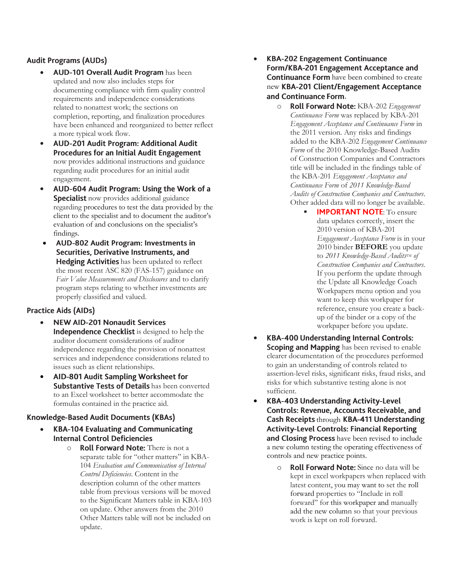## **Audit Programs (AUDs)**

- AUD-101 Overall Audit Program has been updated and now also includes steps for documenting compliance with firm quality control requirements and independence considerations related to nonattest work; the sections on completion, reporting, and finalization procedures have been enhanced and reorganized to better reflect a more typical work flow.
- AUD-201 Audit Program: Additional Audit  $\bullet$ Procedures for an Initial Audit Engagement now provides additional instructions and guidance regarding audit procedures for an initial audit engagement.
- $\bullet$ AUD-604 Audit Program: Using the Work of a **Specialist** now provides additional guidance regarding procedures to test the data provided by the client to the specialist and to document the auditor's evaluation of and conclusions on the specialist's findings.
- $\bullet$ AUD-802 Audit Program: Investments in Securities, Derivative Instruments, and Hedging Activities has been updated to reflect the most recent ASC 820 (FAS-157) guidance on *Fair Value Measurements and Disclosures* and to clarify program steps relating to whether investments are properly classified and valued.

## **Practice Aids (AIDs)**

- **NEW AID-201 Nonaudit Services**  $\bullet$ Independence Checklist is designed to help the auditor document considerations of auditor independence regarding the provision of nonattest services and independence considerations related to issues such as client relationships.
- $\bullet$ AID-801 Audit Sampling Worksheet for Substantive Tests of Details has been converted to an Excel worksheet to better accommodate the formulas contained in the practice aid.

#### **Knowledge-Based Audit Documents (KBAs)**

- **KBA-104 Evaluating and Communicating**  $\bullet$ **Internal Control Deficiencies** 
	- o Roll Forward Note: There is not a separate table for "other matters" in KBA-104 *Evaluation and Communication of Internal Control Deficiencies*. Content in the description column of the other matters table from previous versions will be moved to the Significant Matters table in KBA-103 on update. Other answers from the 2010 Other Matters table will not be included on update.
- $\bullet$ **KBA-202 Engagement Continuance** Form/KBA-201 Engagement Acceptance and Continuance Form have been combined to create new KBA-201 Client/Engagement Acceptance and Continuance Form.
	- o **Roll Forward Note:** KBA-202 *Engagement Continuance Form* was replaced by KBA-201 *Engagement Acceptance and Continuance Form* in the 2011 version*.* Any risks and findings added to the KBA-202 *Engagement Continuance Form* of the 2010 Knowledge-Based Audits of Construction Companies and Contractors title will be included in the findings table of the KBA-201 *Engagement Acceptance and Continuance Form* of *2011 Knowledge-Based Audits of Construction Companies and Contractors*. Other added data will no longer be available.
		- **IMPORTANT NOTE:** To ensure data updates correctly, insert the 2010 version of KBA-201 *Engagement Acceptance Form* is in your 2010 binder **BEFORE** you update to 2011 Knowledge-Based Audits<sup>TM</sup> of *Construction Companies and Contractors.*  If you perform the update through the Update all Knowledge Coach Workpapers menu option and you want to keep this workpaper for reference, ensure you create a backup of the binder or a copy of the workpaper before you update.
- $\bullet$ **KBA-400 Understanding Internal Controls:** Scoping and Mapping has been revised to enable clearer documentation of the procedures performed to gain an understanding of controls related to assertion-level risks, significant risks, fraud risks, and risks for which substantive testing alone is not sufficient.
- $\bullet$ **KBA-403 Understanding Activity-Level** Controls: Revenue, Accounts Receivable, and Cash Receipts through KBA-411 Understanding **Activity-Level Controls: Financial Reporting** and Closing Process have been revised to include a new column testing the operating effectiveness of controls and new practice points.
	- $\circ$  **Roll Forward Note:** Since no data will be kept in excel workpapers when replaced with latest content, you may want to set the roll forward properties to "Include in roll forward" for this workpaper and manually add the new column so that your previous work is kept on roll forward.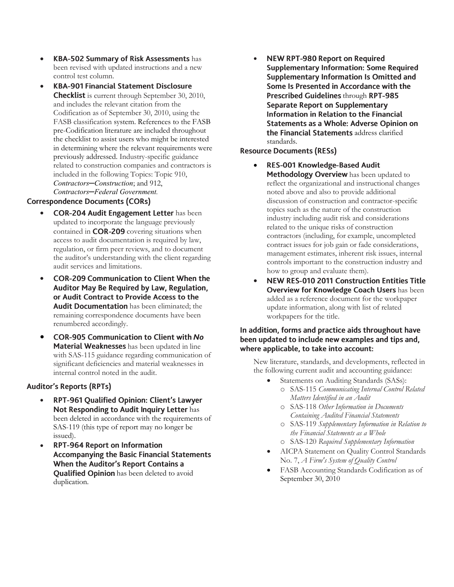- **KBA-502 Summary of Risk Assessments has** been revised with updated instructions and a new control test column.
- **KBA-901 Financial Statement Disclosure**  $\bullet$ **Checklist** is current through September 30, 2010, and includes the relevant citation from the Codification as of September 30, 2010, using the FASB classification system. References to the FASB pre-Codification literature are included throughout the checklist to assist users who might be interested in determining where the relevant requirements were previously addressed. Industry-specific guidance related to construction companies and contractors is included in the following Topics: Topic 910, *Contractors─Construction*; and 912, *Contractors─Federal Government.*

#### **Correspondence Documents (CORs)**

- **COR-204 Audit Engagement Letter has been** updated to incorporate the language previously contained in COR-209 covering situations when access to audit documentation is required by law, regulation, or firm peer reviews, and to document the auditor's understanding with the client regarding audit services and limitations.
- **COR-209 Communication to Client When the**  $\bullet$ Auditor May Be Required by Law, Regulation, or Audit Contract to Provide Access to the Audit Documentation has been eliminated; the remaining correspondence documents have been renumbered accordingly.
- $\bullet$ **COR-905 Communication to Client with No** Material Weaknesses has been updated in line with SAS-115 guidance regarding communication of significant deficiencies and material weaknesses in internal control noted in the audit.

#### **Auditor's Reports (RPTs)**

- RPT-961 Qualified Opinion: Client's Lawyer  $\bullet$ Not Responding to Audit Inquiry Letter has been deleted in accordance with the requirements of SAS-119 (this type of report may no longer be issued).
- **RPT-964 Report on Information**  $\bullet$ **Accompanying the Basic Financial Statements** When the Auditor's Report Contains a Qualified Opinion has been deleted to avoid duplication.

**NEW RPT-980 Report on Required**  $\bullet$ **Supplementary Information: Some Required** Supplementary Information Is Omitted and Some Is Presented in Accordance with the Prescribed Guidelines through RPT-985 Separate Report on Supplementary Information in Relation to the Financial Statements as a Whole: Adverse Opinion on the Financial Statements address clarified standards.

#### **Resource Documents (RESs)**

- $\bullet$ RES-001 Knowledge-Based Audit Methodology Overview has been updated to reflect the organizational and instructional changes noted above and also to provide additional discussion of construction and contractor-specific topics such as the nature of the construction industry including audit risk and considerations related to the unique risks of construction contractors (including, for example, uncompleted contract issues for job gain or fade considerations, management estimates, inherent risk issues, internal controls important to the construction industry and how to group and evaluate them).
- NEW RES-010 2011 Construction Entities Title  $\bullet$ Overview for Knowledge Coach Users has been added as a reference document for the workpaper update information, along with list of related workpapers for the title.

#### In addition, forms and practice aids throughout have been updated to include new examples and tips and, where applicable, to take into account:

New literature, standards, and developments, reflected in the following current audit and accounting guidance:

- Statements on Auditing Standards (SASs): o SAS-115 *Communicating Internal Control Related* 
	- *Matters Identified in an Audit*
	- o SAS-118 *Other Information in Documents Containing Audited Financial Statements*
	- o SAS-119 *Supplementary Information in Relation to the Financial Statements as a Whole*
	- o SAS-120 *Required Supplementary Information*
- AICPA Statement on Quality Control Standards No. 7, *A Firm's System of Quality Control*
- FASB Accounting Standards Codification as of September 30, 2010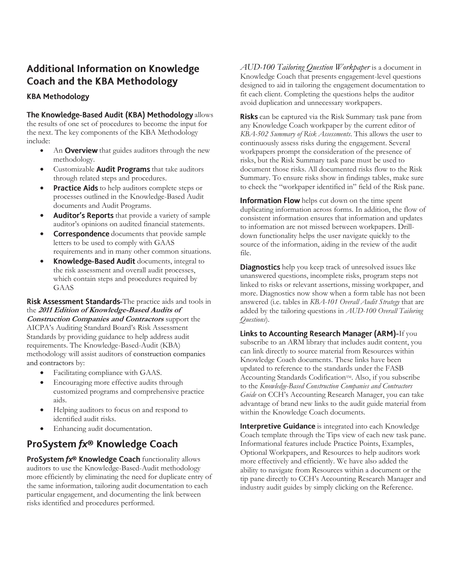# **Additional Information on Knowledge Coach and the KBA Methodology**

### **KBA Methodology**

#### The Knowledge-Based Audit (KBA) Methodology allows

the results of one set of procedures to become the input for the next. The key components of the KBA Methodology include:

- An **Overview** that guides auditors through the new methodology.
- Customizable **Audit Programs** that take auditors through related steps and procedures.
- Practice Aids to help auditors complete steps or processes outlined in the Knowledge-Based Audit documents and Audit Programs.
- Auditor's Reports that provide a variety of sample auditor's opinions on audited financial statements.
- **Correspondence** documents that provide sample letters to be used to comply with GAAS requirements and in many other common situations.
- Knowledge-Based Audit documents, integral to the risk assessment and overall audit processes, which contain steps and procedures required by GAAS

Risk Assessment Standards-The practice aids and tools in the **2011 Edition of Knowledge-Based Audits of Construction Companies and Contractors** support the AICPA's Auditing Standard Board's Risk Assessment Standards by providing guidance to help address audit requirements. The Knowledge-Based-Audit (KBA) methodology will assist auditors of construction companies and contractors by:

- Facilitating compliance with GAAS.
- Encouraging more effective audits through customized programs and comprehensive practice aids.
- Helping auditors to focus on and respond to identified audit risks.
- Enhancing audit documentation.

# ProSystem fx® Knowledge Coach

ProSystem fx® Knowledge Coach functionality allows auditors to use the Knowledge-Based-Audit methodology more efficiently by eliminating the need for duplicate entry of the same information, tailoring audit documentation to each particular engagement, and documenting the link between risks identified and procedures performed.

*AUD-100 Tailoring Question Workpaper* is a document in Knowledge Coach that presents engagement-level questions designed to aid in tailoring the engagement documentation to fit each client. Completing the questions helps the auditor avoid duplication and unnecessary workpapers.

**Risks** can be captured via the Risk Summary task pane from any Knowledge Coach workpaper by the current editor of *KBA-502 Summary of Risk Assessments*. This allows the user to continuously assess risks during the engagement. Several workpapers prompt the consideration of the presence of risks, but the Risk Summary task pane must be used to document those risks. All documented risks flow to the Risk Summary. To ensure risks show in findings tables, make sure to check the "workpaper identified in" field of the Risk pane.

Information Flow helps cut down on the time spent duplicating information across forms. In addition, the flow of consistent information ensures that information and updates to information are not missed between workpapers. Drilldown functionality helps the user navigate quickly to the source of the information, aiding in the review of the audit file.

**Diagnostics** help you keep track of unresolved issues like unanswered questions, incomplete risks, program steps not linked to risks or relevant assertions, missing workpaper, and more. Diagnostics now show when a form table has not been answered (i.e. tables in *KBA-101 Overall Audit Strategy* that are added by the tailoring questions in *AUD-100 Overall Tailoring Questions*).

Links to Accounting Research Manager (ARM)-If you subscribe to an ARM library that includes audit content, you can link directly to source material from Resources within Knowledge Coach documents. These links have been updated to reference to the standards under the FASB Accounting Standards Codification™. Also, if you subscribe to the *Knowledge-Based Construction Companies and Contractors Guide* on CCH's Accounting Research Manager, you can take advantage of brand new links to the audit guide material from within the Knowledge Coach documents.

Interpretive Guidance is integrated into each Knowledge Coach template through the Tips view of each new task pane. Informational features include Practice Points, Examples, Optional Workpapers, and Resources to help auditors work more effectively and efficiently. We have also added the ability to navigate from Resources within a document or the tip pane directly to CCH's Accounting Research Manager and industry audit guides by simply clicking on the Reference.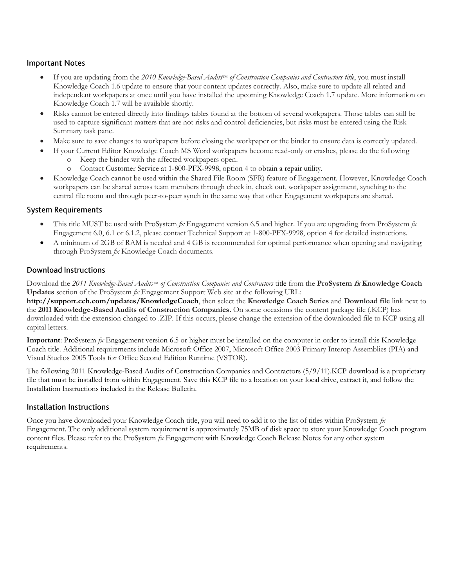#### **Important Notes**

- If you are updating from the 2010 Knowledge-Based *Audits*<sup>TM</sup> of Construction Companies and Contractors title, you must install Knowledge Coach 1.6 update to ensure that your content updates correctly. Also, make sure to update all related and independent workpapers at once until you have installed the upcoming Knowledge Coach 1.7 update. More information on Knowledge Coach 1.7 will be available shortly.
- Risks cannot be entered directly into findings tables found at the bottom of several workpapers. Those tables can still be used to capture significant matters that are not risks and control deficiencies, but risks must be entered using the Risk Summary task pane.
- Make sure to save changes to workpapers before closing the workpaper or the binder to ensure data is correctly updated.
- If your Current Editor Knowledge Coach MS Word workpapers become read-only or crashes, please do the following
	- o Keep the binder with the affected workpapers open.
	- o Contact Customer Service at 1-800-PFX-9998, option 4 to obtain a repair utility.
- Knowledge Coach cannot be used within the Shared File Room (SFR) feature of Engagement. However, Knowledge Coach workpapers can be shared across team members through check in, check out, workpaper assignment, synching to the central file room and through peer-to-peer synch in the same way that other Engagement workpapers are shared.

#### **System Requirements**

- This title MUST be used with ProSystem *fx* Engagement version 6.5 and higher. If you are upgrading from ProSystem *fx*  Engagement 6.0, 6.1 or 6.1.2, please contact Technical Support at 1-800-PFX-9998, option 4 for detailed instructions.
- A minimum of 2GB of RAM is needed and 4 GB is recommended for optimal performance when opening and navigating through ProSystem *fx* Knowledge Coach documents.

#### **Download Instructions**

Download the 2011 *Knowledge-Based Audits*<sup>TM</sup> of Construction Companies and Contractors title from the **ProSystem** *fx* Knowledge Coach **Updates** section of the ProSystem *fx* Engagement Support Web site at the following URL:

**http://support.cch.com/updates/KnowledgeCoach**, then select the **Knowledge Coach Series** and **Download file** link next to the **2011 Knowledge-Based Audits of Construction Companies.** On some occasions the content package file (.KCP) has downloaded with the extension changed to .ZIP. If this occurs, please change the extension of the downloaded file to KCP using all capital letters.

**Important**: ProSystem *fx* Engagement version 6.5 or higher must be installed on the computer in order to install this Knowledge Coach title. Additional requirements include Microsoft Office 2007, Microsoft Office 2003 Primary Interop Assemblies (PIA) and Visual Studios 2005 Tools for Office Second Edition Runtime (VSTOR).

The following 2011 Knowledge-Based Audits of Construction Companies and Contractors (5/9/11).KCP download is a proprietary file that must be installed from within Engagement. Save this KCP file to a location on your local drive, extract it, and follow the Installation Instructions included in the Release Bulletin.

#### Installation Instructions

Once you have downloaded your Knowledge Coach title, you will need to add it to the list of titles within ProSystem *fx* Engagement. The only additional system requirement is approximately 75MB of disk space to store your Knowledge Coach program content files. Please refer to the ProSystem *fx* Engagement with Knowledge Coach Release Notes for any other system requirements.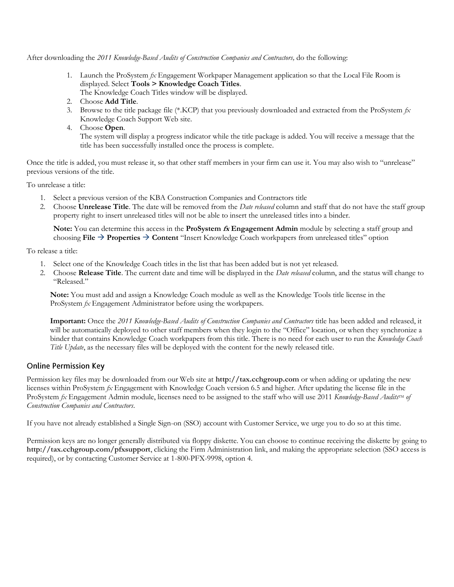After downloading the *2011 Knowledge-Based Audits of Construction Companies and Contractors,* do the following:

- 1. Launch the ProSystem *fx* Engagement Workpaper Management application so that the Local File Room is displayed. Select **Tools > Knowledge Coach Titles**.
	- The Knowledge Coach Titles window will be displayed.
- 2. Choose **Add Title**.
- 3. Browse to the title package file (\*.KCP) that you previously downloaded and extracted from the ProSystem *fx* Knowledge Coach Support Web site.
- 4. Choose **Open**.

The system will display a progress indicator while the title package is added. You will receive a message that the title has been successfully installed once the process is complete.

Once the title is added, you must release it, so that other staff members in your firm can use it. You may also wish to "unrelease" previous versions of the title.

To unrelease a title:

- 1. Select a previous version of the KBA Construction Companies and Contractors title
- 2. Choose **Unrelease Title**. The date will be removed from the *Date released* column and staff that do not have the staff group property right to insert unreleased titles will not be able to insert the unreleased titles into a binder.

**Note:** You can determine this access in the **ProSystem fx Engagement Admin** module by selecting a staff group and choosing **File Properties Content** "Insert Knowledge Coach workpapers from unreleased titles" option

To release a title:

- 1. Select one of the Knowledge Coach titles in the list that has been added but is not yet released.
- 2. Choose **Release Title**. The current date and time will be displayed in the *Date released* column, and the status will change to "Released."

**Note:** You must add and assign a Knowledge Coach module as well as the Knowledge Tools title license in the ProSystem *fx* Engagement Administrator before using the workpapers.

**Important:** Once the *2011 Knowledge-Based Audits of Construction Companies and Contractors* title has been added and released, it will be automatically deployed to other staff members when they login to the "Office" location, or when they synchronize a binder that contains Knowledge Coach workpapers from this title. There is no need for each user to run the *Knowledge Coach Title Update*, as the necessary files will be deployed with the content for the newly released title.

#### **Online Permission Key**

Permission key files may be downloaded from our Web site at **http://tax.cchgroup.com** or when adding or updating the new licenses within ProSystem *fx* Engagement with Knowledge Coach version 6.5 and higher. After updating the license file in the ProSystem *fx* Engagement Admin module, licenses need to be assigned to the staff who will use 2011 *Knowledge-Based Audits*<sup>IM</sup> of *Construction Companies and Contractors*.

If you have not already established a Single Sign-on (SSO) account with Customer Service, we urge you to do so at this time.

Permission keys are no longer generally distributed via floppy diskette. You can choose to continue receiving the diskette by going to **http://tax.cchgroup.com/pfxsupport**, clicking the Firm Administration link, and making the appropriate selection (SSO access is required), or by contacting Customer Service at 1-800-PFX-9998, option 4.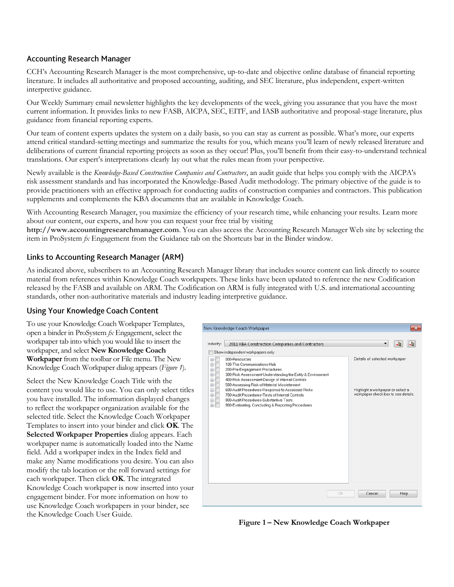#### **Accounting Research Manager**

CCH's Accounting Research Manager is the most comprehensive, up-to-date and objective online database of financial reporting literature. It includes all authoritative and proposed accounting, auditing, and SEC literature, plus independent, expert-written interpretive guidance.

Our Weekly Summary email newsletter highlights the key developments of the week, giving you assurance that you have the most current information. It provides links to new FASB, AICPA, SEC, EITF, and IASB authoritative and proposal-stage literature, plus guidance from financial reporting experts.

Our team of content experts updates the system on a daily basis, so you can stay as current as possible. What's more, our experts attend critical standard-setting meetings and summarize the results for you, which means you'll learn of newly released literature and deliberations of current financial reporting projects as soon as they occur! Plus, you'll benefit from their easy-to-understand technical translations. Our expert's interpretations clearly lay out what the rules mean from your perspective.

Newly available is the *Knowledge-Based Construction Companies and Contractors*, an audit guide that helps you comply with the AICPA's risk assessment standards and has incorporated the Knowledge-Based Audit methodology. The primary objective of the guide is to provide practitioners with an effective approach for conducting audits of construction companies and contractors. This publication supplements and complements the KBA documents that are available in Knowledge Coach.

With Accounting Research Manager, you maximize the efficiency of your research time, while enhancing your results. Learn more about our content, our experts, and how you can request your free trial by visiting

**http://www.accountingresearchmanager.com**. You can also access the Accounting Research Manager Web site by selecting the item in ProSystem *fx* Engagement from the Guidance tab on the Shortcuts bar in the Binder window.

#### Links to Accounting Research Manager (ARM)

As indicated above, subscribers to an Accounting Research Manager library that includes source content can link directly to source material from references within Knowledge Coach workpapers. These links have been updated to reference the new Codification released by the FASB and available on ARM. The Codification on ARM is fully integrated with U.S. and international accounting standards, other non-authoritative materials and industry leading interpretive guidance.

#### **Using Your Knowledge Coach Content**

To use your Knowledge Coach Workpaper Templates, open a binder in ProSystem *fx* Engagement, select the workpaper tab into which you would like to insert the workpaper, and select **New Knowledge Coach Workpaper** from the toolbar or File menu. The New Knowledge Coach Workpaper dialog appears (*Figure 1*).

Select the New Knowledge Coach Title with the content you would like to use. You can only select titles you have installed. The information displayed changes to reflect the workpaper organization available for the selected title. Select the Knowledge Coach Workpaper Templates to insert into your binder and click **OK**. The **Selected Workpaper Properties** dialog appears. Each workpaper name is automatically loaded into the Name field. Add a workpaper index in the Index field and make any Name modifications you desire. You can also modify the tab location or the roll forward settings for each workpaper. Then click **OK**. The integrated Knowledge Coach workpaper is now inserted into your engagement binder. For more information on how to use Knowledge Coach workpapers in your binder, see the Knowledge Coach User Guide.



**Figure 1 – New Knowledge Coach Workpaper**